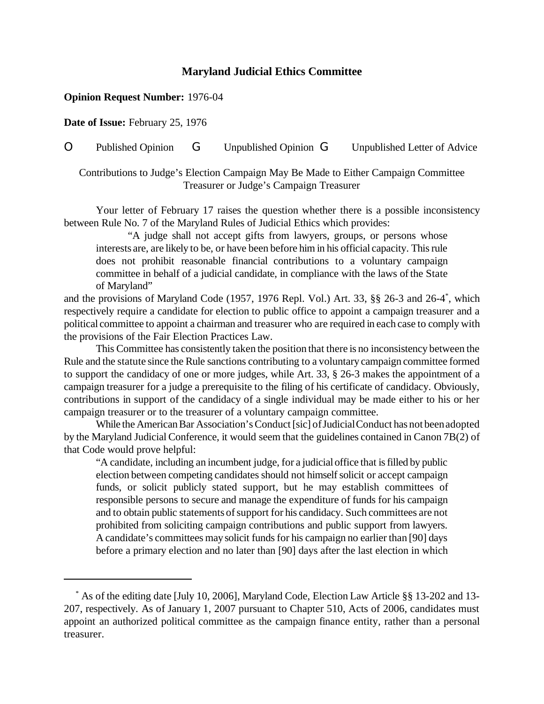## **Maryland Judicial Ethics Committee**

## **Opinion Request Number:** 1976-04

**Date of Issue:** February 25, 1976

O Published Opinion G Unpublished Opinion G Unpublished Letter of Advice

Contributions to Judge's Election Campaign May Be Made to Either Campaign Committee Treasurer or Judge's Campaign Treasurer

Your letter of February 17 raises the question whether there is a possible inconsistency between Rule No. 7 of the Maryland Rules of Judicial Ethics which provides:

"A judge shall not accept gifts from lawyers, groups, or persons whose interests are, are likely to be, or have been before him in his official capacity. Thisrule does not prohibit reasonable financial contributions to a voluntary campaign committee in behalf of a judicial candidate, in compliance with the laws of the State of Maryland"

and the provisions of Maryland Code (1957, 1976 Repl. Vol.) Art. 33, §§ 26-3 and 26-4\* , which respectively require a candidate for election to public office to appoint a campaign treasurer and a political committee to appoint a chairman and treasurer who are required in each case to comply with the provisions of the Fair Election Practices Law.

This Committee has consistently taken the position that there is no inconsistency between the Rule and the statute since the Rule sanctions contributing to a voluntary campaign committee formed to support the candidacy of one or more judges, while Art. 33, § 26-3 makes the appointment of a campaign treasurer for a judge a prerequisite to the filing of his certificate of candidacy. Obviously, contributions in support of the candidacy of a single individual may be made either to his or her campaign treasurer or to the treasurer of a voluntary campaign committee.

While the American Bar Association's Conduct [sic] of Judicial Conduct has not been adopted by the Maryland Judicial Conference, it would seem that the guidelines contained in Canon 7B(2) of that Code would prove helpful:

"A candidate, including an incumbent judge, for a judicialoffice that isfilled by public election between competing candidates should not himself solicit or accept campaign funds, or solicit publicly stated support, but he may establish committees of responsible persons to secure and manage the expenditure of funds for his campaign and to obtain public statements of support for his candidacy. Such committees are not prohibited from soliciting campaign contributions and public support from lawyers. A candidate's committees may solicit funds for his campaign no earlier than [90] days before a primary election and no later than [90] days after the last election in which

<sup>\*</sup> As of the editing date [July 10, 2006], Maryland Code, Election Law Article §§ 13-202 and 13- 207, respectively. As of January 1, 2007 pursuant to Chapter 510, Acts of 2006, candidates must appoint an authorized political committee as the campaign finance entity, rather than a personal treasurer.